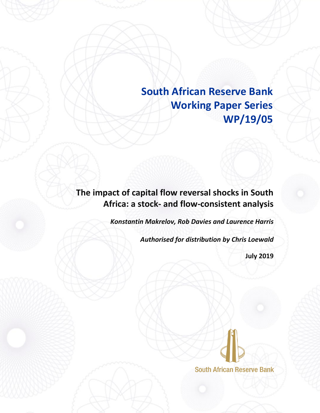**South African Reserve Bank Working Paper Series WP/19/05**

# **The impact of capital flow reversal shocks in South Africa: a stock- and flow-consistent analysis**

*Konstantin Makrelov, Rob Davies and Laurence Harris*

*Authorised for distribution by Chris Loewald*

**July 2019**

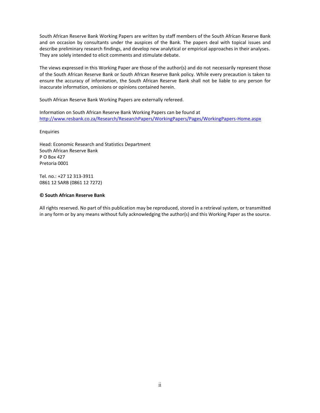South African Reserve Bank Working Papers are written by staff members of the South African Reserve Bank and on occasion by consultants under the auspices of the Bank. The papers deal with topical issues and describe preliminary research findings, and develop new analytical or empirical approaches in their analyses. They are solely intended to elicit comments and stimulate debate.

The views expressed in this Working Paper are those of the author(s) and do not necessarily represent those of the South African Reserve Bank or South African Reserve Bank policy. While every precaution is taken to ensure the accuracy of information, the South African Reserve Bank shall not be liable to any person for inaccurate information, omissions or opinions contained herein.

South African Reserve Bank Working Papers are externally refereed.

Information on South African Reserve Bank Working Papers can be found at <http://www.resbank.co.za/Research/ResearchPapers/WorkingPapers/Pages/WorkingPapers-Home.aspx>

Enquiries

Head: Economic Research and Statistics Department South African Reserve Bank P O Box 427 Pretoria 0001

Tel. no.: +27 12 313-3911 0861 12 SARB (0861 12 7272)

#### **© South African Reserve Bank**

All rights reserved. No part of this publication may be reproduced, stored in a retrieval system, or transmitted in any form or by any means without fully acknowledging the author(s) and this Working Paper as the source.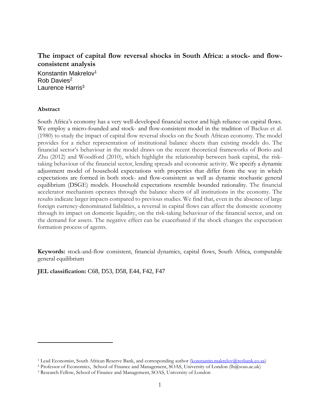## **The impact of capital flow reversal shocks in South Africa: a stock- and flowconsistent analysis**

Konstantin Makrelov<sup>1</sup> Rob Davies<sup>2</sup> Laurence Harris<sup>3</sup>

## **Abstract**

 $\overline{a}$ 

South Africa's economy has a very well-developed financial sector and high reliance on capital flows. We employ a micro-founded and stock- and flow-consistent model in the tradition of Backus et al. (1980) to study the impact of capital flow reversal shocks on the South African economy. The model provides for a richer representation of institutional balance sheets than existing models do. The financial sector's behaviour in the model draws on the recent theoretical frameworks of Borio and Zhu (2012) and Woodford (2010), which highlight the relationship between bank capital, the risktaking behaviour of the financial sector, lending spreads and economic activity. We specify a dynamic adjustment model of household expectations with properties that differ from the way in which expectations are formed in both stock- and flow-consistent as well as dynamic stochastic general equilibrium (DSGE) models. Household expectations resemble bounded rationality. The financial accelerator mechanism operates through the balance sheets of all institutions in the economy. The results indicate larger impacts compared to previous studies. We find that, even in the absence of large foreign currency-denominated liabilities, a reversal in capital flows can affect the domestic economy through its impact on domestic liquidity, on the risk-taking behaviour of the financial sector, and on the demand for assets. The negative effect can be exacerbated if the shock changes the expectation formation process of agents.

**Keywords:** stock-and-flow consistent, financial dynamics, capital flows, South Africa, computable general equilibrium

**JEL classification:** C68, D53, D58, E44, F42, F47

<sup>&</sup>lt;sup>1</sup> Lead Economist, South African Reserve Bank, and corresponding author [\(konstantin.makrelov@resbank.co.za\)](mailto:konstantin.makrelov@resbank.co.za)

<sup>2</sup> Professor of Economics, School of Finance and Management, SOAS, University of London (lh@soas.ac.uk)

<sup>3</sup> Research Fellow, School of Finance and Management, SOAS, University of London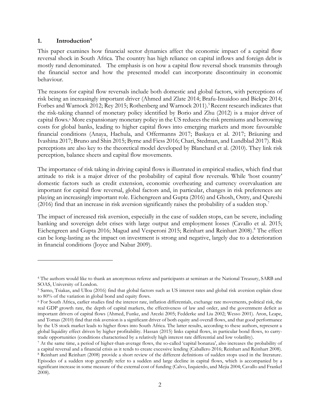## **1. Introduction<sup>4</sup>**

 $\overline{a}$ 

This paper examines how financial sector dynamics affect the economic impact of a capital flow reversal shock in South Africa. The country has high reliance on capital inflows and foreign debt is mostly rand denominated. The emphasis is on how a capital flow reversal shock transmits through the financial sector and how the presented model can incorporate discontinuity in economic behaviour.

The reasons for capital flow reversals include both domestic and global factors, with perceptions of risk being an increasingly important driver (Ahmed and Zlate 2014; Brafu-Insaidoo and Biekpe 2014; Forbes and Warnock 2012; Rey 2015; Rothenberg and Warnock 2011). <sup>5</sup>Recent research indicates that the risk-taking channel of monetary policy identified by Borio and Zhu (2012) is a major driver of capital flows.<sup>6</sup> More expansionary monetary policy in the US reduces the risk premiums and borrowing costs for global banks, leading to higher capital flows into emerging markets and more favourable financial conditions (Anaya, Hachula, and Offermanns 2017; Baskaya et al. 2017; Bräuning and Ivashina 2017; Bruno and Shin 2015; Byrne and Fiess 2016; Chari, Stedman, and Lundblad 2017). Risk perceptions are also key to the theoretical model developed by Blanchard et al. (2010). They link risk perception, balance sheets and capital flow movements.

The importance of risk taking in driving capital flows is illustrated in empirical studies, which find that attitude to risk is a major driver of the probability of capital flow reversals. While 'host country' domestic factors such as credit extension, economic overheating and currency overvaluation are important for capital flow reversal, global factors and, in particular, changes in risk preferences are playing an increasingly important role. Eichengreen and Gupta (2016) and Ghosh, Ostry, and Qureshi (2016) find that an increase in risk aversion significantly raises the probability of a sudden stop.<sup>7</sup>

The impact of increased risk aversion, especially in the case of sudden stops, can be severe, including banking and sovereign debt crises with large output and employment losses (Cavallo et al. 2015; Eichengreen and Gupta 2016; Magud and Vesperoni 2015; Reinhart and Reinhart 2008). <sup>8</sup> The effect can be long-lasting as the impact on investment is strong and negative, largely due to a deterioration in financial conditions (Joyce and Nabar 2009).

<sup>4</sup> The authors would like to thank an anonymous referee and participants at seminars at the National Treasury, SARB and SOAS, University of London.

<sup>5</sup> Sarno, Tsiakas, and Ulloa (2016) find that global factors such as US interest rates and global risk aversion explain close to 80% of the variation in global bond and equity flows.

<sup>6</sup> For South Africa, earlier studies find the interest rate, inflation differentials, exchange rate movements, political risk, the real GDP growth rate, the depth of capital markets, the effectiveness of law and order, and the government deficit as important drivers of capital flows (Ahmed, Funke, and Arezki 2005; Fedderke and Liu 2002; Wesso 2001). Aron, Leape, and Tomas (2010) find that risk aversion is a significant driver of both equity and overall flows, and that good performance by the US stock market leads to higher flows into South Africa. The latter results, according to these authors, represent a global liquidity effect driven by higher profitability. Hassan (2015) links capital flows, in particular bond flows, to carrytrade opportunities (conditions characterised by a relatively high interest rate differential and low volatility).

<sup>7</sup> At the same time, a period of higher-than-average flows, the so-called 'capital bonanza', also increases the probability of a capital reversal and a financial crisis as it tends to create excessive lending (Caballero 2016; Reinhart and Reinhart 2008). <sup>8</sup> Reinhart and Reinhart (2008) provide a short review of the different definitions of sudden stops used in the literature. Episodes of a sudden stop generally refer to a sudden and large decline in capital flows, which is accompanied by a significant increase in some measure of the external cost of funding (Calvo, Izquierdo, and Mejia 2004; Cavallo and Frankel 2008).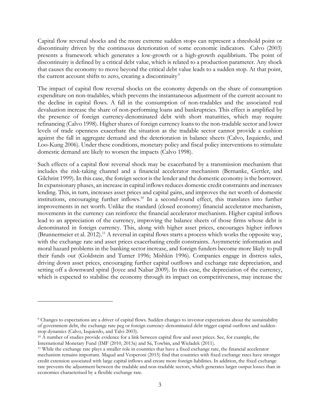Capital flow reversal shocks and the more extreme sudden stops can represent a threshold point or discontinuity driven by the continuous deterioration of some economic indicators. Calvo (2003) presents a framework which generates a low-growth or a high-growth equilibrium. The point of discontinuity is defined by a critical debt value, which is related to a production parameter. Any shock that causes the economy to move beyond the critical debt value leads to a sudden stop. At that point, the current account shifts to zero, creating a discontinuity<sup>9</sup>

The impact of capital flow reversal shocks on the economy depends on the share of consumption expenditure on non-tradables, which prevents the instantaneous adjustment of the current account to the decline in capital flows. A fall in the consumption of non-tradables and the associated real devaluation increase the share of non-performing loans and bankruptcies. This effect is amplified by the presence of foreign currency-denominated debt with short maturities, which may require refinancing (Calvo 1998). Higher shares of foreign currency loans to the non-tradable sector and lower levels of trade openness exacerbate the situation as the tradable sector cannot provide a cushion against the fall in aggregate demand and the deterioration in balance sheets (Calvo, Izquierdo, and Loo-Kung 2006). Under these conditions, monetary policy and fiscal policy interventions to stimulate domestic demand are likely to worsen the impacts (Calvo 1998).

Such effects of a capital flow reversal shock may be exacerbated by a transmission mechanism that includes the risk-taking channel and a financial accelerator mechanism (Bernanke, Gertler, and Gilchrist 1999). In this case, the foreign sector is the lender and the domestic economy is the borrower. In expansionary phases, an increase in capital inflows reduces domestic credit constraints and increases lending. This, in turn, increases asset prices and capital gains, and improves the net worth of domestic institutions, encouraging further inflows.<sup>10</sup> In a second-round effect, this translates into further improvements in net worth. Unlike the standard (closed economy) financial accelerator mechanism, movements in the currency can reinforce the financial accelerator mechanism. Higher capital inflows lead to an appreciation of the currency, improving the balance sheets of those firms whose debt is denominated in foreign currency. This, along with higher asset prices, encourages higher inflows (Brunnermeier et al. 2012).<sup>11</sup> A reversal in capital flows starts a process which works the opposite way, with the exchange rate and asset prices exacerbating credit constraints. Asymmetric information and moral hazard problems in the banking sector increase, and foreign funders become more likely to pull their funds out (Goldstein and Turner 1996; Mishkin 1996). Companies engage in distress sales, driving down asset prices, encouraging further capital outflows and exchange rate depreciation, and setting off a downward spiral (Joyce and Nabar 2009). In this case, the depreciation of the currency, which is expected to stabilise the economy through its impact on competitiveness, may increase the

<sup>9</sup> Changes to expectations are a driver of capital flows. Sudden changes to investor expectations about the sustainability of government debt, the exchange rate peg or foreign currency-denominated debt trigger capital outflows and suddenstop dynamics (Calvo, Izquierdo, and Talvi 2003).

<sup>&</sup>lt;sup>10</sup> A number of studies provide evidence for a link between capital flow and asset prices. See, for example, the International Monetary Fund (IMF (2010, 2013a) and Sá, Towbin, and Wieladek (2011).

<sup>11</sup> While the exchange rate plays a smaller role in countries that have a fixed exchange rate, the financial accelerator mechanism remains important. Magud and Vesperoni (2015) find that countries with fixed exchange rates have stronger credit extension associated with large capital inflows and create more foreign liabilities. In addition, the fixed exchange rate prevents the adjustment between the tradable and non-tradable sectors, which generates larger output losses than in economies characterised by a flexible exchange rate.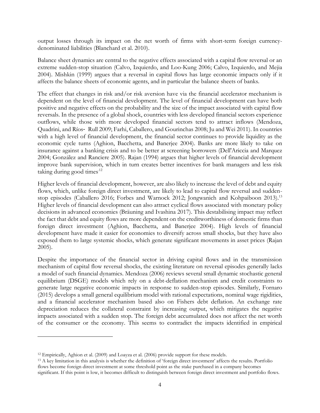output losses through its impact on the net worth of firms with short-term foreign currencydenominated liabilities (Blanchard et al. 2010).

Balance sheet dynamics are central to the negative effects associated with a capital flow reversal or an extreme sudden-stop situation (Calvo, Izquierdo, and Loo-Kung 2006; Calvo, Izquierdo, and Mejia 2004). Mishkin (1999) argues that a reversal in capital flows has large economic impacts only if it affects the balance sheets of economic agents, and in particular the balance sheets of banks.

The effect that changes in risk and/or risk aversion have via the financial accelerator mechanism is dependent on the level of financial development. The level of financial development can have both positive and negative effects on the probability and the size of the impact associated with capital flow reversals. In the presence of a global shock, countries with less developed financial sectors experience outflows, while those with more developed financial sectors tend to attract inflows (Mendoza, Quadrini, and Ríos‐ Rull 2009; Farhi, Caballero, and Gourinchas 2008; Ju and Wei 2011). In countries with a high level of financial development, the financial sector continues to provide liquidity as the economic cycle turns (Aghion, Bacchetta, and Banerjee 2004). Banks are more likely to take on insurance against a banking crisis and to be better at screening borrowers (Dell'Ariccia and Marquez 2004; González and Ranciere 2005). Rajan (1994) argues that higher levels of financial development improve bank supervision, which in turn creates better incentives for bank managers and less risk taking during good times<sup>.12</sup>

Higher levels of financial development, however, are also likely to increase the level of debt and equity flows, which, unlike foreign direct investment, are likely to lead to capital flow reversal and suddenstop episodes (Caballero 2016; Forbes and Warnock 2012; Jongwanich and Kohpaiboon 2013).<sup>13</sup> Higher levels of financial development can also attract cyclical flows associated with monetary policy decisions in advanced economies (Bräuning and Ivashina 2017). This destabilising impact may reflect the fact that debt and equity flows are more dependent on the creditworthiness of domestic firms than foreign direct investment (Aghion, Bacchetta, and Banerjee 2004). High levels of financial development have made it easier for economies to diversify across small shocks, but they have also exposed them to large systemic shocks, which generate significant movements in asset prices (Rajan 2005).

Despite the importance of the financial sector in driving capital flows and in the transmission mechanism of capital flow reversal shocks, the existing literature on reversal episodes generally lacks a model of such financial dynamics. Mendoza (2006) reviews several small dynamic stochastic general equilibrium (DSGE) models which rely on a debt-deflation mechanism and credit constraints to generate large negative economic impacts in response to sudden-stop episodes. Similarly, Fornaro (2015) develops a small general equilibrium model with rational expectations, nominal wage rigidities, and a financial accelerator mechanism based also on Fishers debt deflation. An exchange rate depreciation reduces the collateral constraint by increasing output, which mitigates the negative impacts associated with a sudden stop. The foreign debt accumulated does not affect the net worth of the consumer or the economy. This seems to contradict the impacts identified in empirical

<sup>12</sup> Empirically, Aghion et al. (2009) and Loayza et al. (2006) provide support for these models.

<sup>&</sup>lt;sup>13</sup> A key limitation in this analysis is whether the definition of 'foreign direct investment' affects the results. Portfolio flows become foreign direct investment at some threshold point as the stake purchased in a company becomes significant. If this point is low, it becomes difficult to distinguish between foreign direct investment and portfolio flows.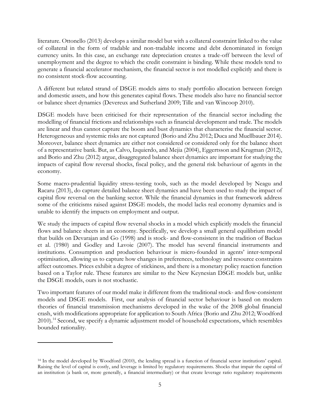literature. Ottonello (2013) develops a similar model but with a collateral constraint linked to the value of collateral in the form of tradable and non-tradable income and debt denominated in foreign currency units. In this case, an exchange rate depreciation creates a trade-off between the level of unemployment and the degree to which the credit constraint is binding. While these models tend to generate a financial accelerator mechanism, the financial sector is not modelled explicitly and there is no consistent stock-flow accounting.

A different but related strand of DSGE models aims to study portfolio allocation between foreign and domestic assets, and how this generates capital flows. These models also have no financial sector or balance sheet dynamics (Devereux and Sutherland 2009; Tille and van Wincoop 2010).

DSGE models have been criticised for their representation of the financial sector including the modelling of financial frictions and relationships such as financial development and trade. The models are linear and thus cannot capture the boom and bust dynamics that characterise the financial sector. Heterogeneous and systemic risks are not captured (Borio and Zhu 2012; Duca and Muellbauer 2014). Moreover, balance sheet dynamics are either not considered or considered only for the balance sheet of a representative bank. But, as Calvo, Izquierdo, and Mejia (2004), Eggertsson and Krugman (2012), and Borio and Zhu (2012) argue, disaggregated balance sheet dynamics are important for studying the impacts of capital flow reversal shocks, fiscal policy, and the general risk behaviour of agents in the economy.

Some macro-prudential liquidity stress-testing tools, such as the model developed by Neagu and Racaru (2013), do capture detailed balance sheet dynamics and have been used to study the impact of capital flow reversal on the banking sector. While the financial dynamics in that framework address some of the criticisms raised against DSGE models, the model lacks real economy dynamics and is unable to identify the impacts on employment and output.

We study the impacts of capital flow reversal shocks in a model which explicitly models the financial flows and balance sheets in an economy. Specifically, we develop a small general equilibrium model that builds on Devarajan and Go (1998) and is stock- and flow-consistent in the tradition of Backus et al. (1980) and Godley and Lavoie (2007). The model has several financial instruments and institutions. Consumption and production behaviour is micro-founded in agents' inter-temporal optimisation, allowing us to capture how changes in preferences, technology and resource constraints affect outcomes. Prices exhibit a degree of stickiness, and there is a monetary policy reaction function based on a Taylor rule. These features are similar to the New Keynesian DSGE models but, unlike the DSGE models, ours is not stochastic.

Two important features of our model make it different from the traditional stock- and flow-consistent models and DSGE models. First, our analysis of financial sector behaviour is based on modern theories of financial transmission mechanisms developed in the wake of the 2008 global financial crash, with modifications appropriate for application to South Africa (Borio and Zhu 2012; Woodford 2010).<sup>14</sup> Second, we specify a dynamic adjustment model of household expectations, which resembles bounded rationality.

<sup>14</sup> In the model developed by Woodford (2010), the lending spread is a function of financial sector institutions' capital. Raising the level of capital is costly, and leverage is limited by regulatory requirements. Shocks that impair the capital of an institution (a bank or, more generally, a financial intermediary) or that create leverage ratio regulatory requirements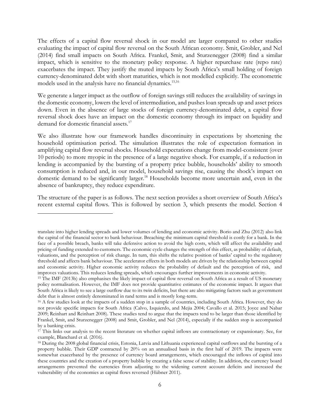The effects of a capital flow reversal shock in our model are larger compared to other studies evaluating the impact of capital flow reversal on the South African economy. Smit, Grobler, and Nel (2014) find small impacts on South Africa. Frankel, Smit, and Sturzenegger (2008) find a similar impact, which is sensitive to the monetary policy response. A higher repurchase rate (repo rate) exacerbates the impact. They justify the muted impacts by South Africa's small holding of foreign currency-denominated debt with short maturities, which is not modelled explicitly. The econometric models used in the analysis have no financial dynamics.<sup>15,16</sup>

We generate a larger impact as the outflow of foreign savings still reduces the availability of savings in the domestic economy, lowers the level of intermediation, and pushes loan spreads up and asset prices down. Even in the absence of large stocks of foreign currency-denominated debt, a capital flow reversal shock does have an impact on the domestic economy through its impact on liquidity and demand for domestic financial assets.<sup>17</sup>

We also illustrate how our framework handles discontinuity in expectations by shortening the household optimisation period. The simulation illustrates the role of expectation formation in amplifying capital flow reversal shocks. Household expectations change from model-consistent (over 10 periods) to more myopic in the presence of a large negative shock. For example, if a reduction in lending is accompanied by the bursting of a property price bubble, households' ability to smooth consumption is reduced and, in our model, household savings rise, causing the shock's impact on domestic demand to be significantly larger.<sup>18</sup> Households become more uncertain and, even in the absence of bankruptcy, they reduce expenditure.

The structure of the paper is as follows. The next section provides a short overview of South Africa's recent external capital flows. This is followed by section 3, which presents the model. Section 4

translate into higher lending spreads and lower volumes of lending and economic activity. Borio and Zhu (2012) also link the capital of the financial sector to bank behaviour. Breaching the minimum capital threshold is costly for a bank. In the face of a possible breach, banks will take defensive action to avoid the high costs, which will affect the availability and pricing of funding extended to customers. The economic cycle changes the strength of this effect, as probability of default, valuations, and the perception of risk change. In turn, this shifts the relative position of banks' capital to the regulatory threshold and affects bank behaviour. The accelerator effects in both models are driven by the relationship between capital and economic activity. Higher economic activity reduces the probability of default and the perception of risk, and improves valuations. This reduces lending spreads, which encourages further improvements in economic activity.

<sup>15</sup> The IMF (2013b) also emphasises the likely impact of capital flow reversal on South Africa as a result of US monetary policy normalisation. However, the IMF does not provide quantitative estimates of the economic impact. It argues that South Africa is likely to see a large outflow due to its twin deficits, but there are also mitigating factors such as government debt that is almost entirely denominated in rand terms and is mostly long-term.

<sup>&</sup>lt;sup>16</sup> A few studies look at the impacts of a sudden stop in a sample of countries, including South Africa. However, they do not provide specific impacts for South Africa (Calvo, Izquierdo, and Mejia 2004; Cavallo et al. 2015; Joyce and Nabar 2009; Reinhart and Reinhart 2008). These studies tend to argue that the impacts tend to be larger than those identified by Frankel, Smit, and Sturzenegger (2008) and Smit, Grobler, and Nel (2014), especially if the sudden stop is accompanied by a banking crisis.

<sup>17</sup> This links our analysis to the recent literature on whether capital inflows are contractionary or expansionary. See, for example, Blanchard et al. (2016).

<sup>18</sup> During the 2008 global financial crisis, Estonia, Latvia and Lithuania experienced capital outflows and the bursting of a property bubble. Their GDP contracted by 20% on an annualised basis in the first half of 2019. The impacts were somewhat exacerbated by the presence of currency board arrangements, which encouraged the inflows of capital into these countries and the creation of a property bubble by creating a false sense of stability. In addition, the currency board arrangements prevented the currencies from adjusting to the widening current account deficits and increased the vulnerability of the economies as capital flows reversed (Hübner 2011).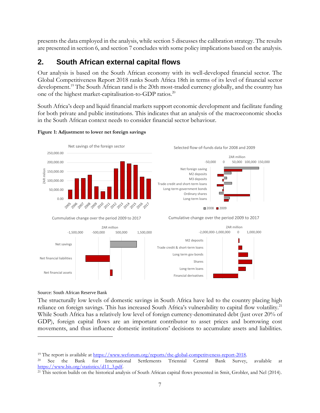presents the data employed in the analysis, while section 5 discusses the calibration strategy. The results are presented in section 6, and section 7 concludes with some policy implications based on the analysis.

## **2. South African external capital flows**

Our analysis is based on the South African economy with its well-developed financial sector. The Global Competitiveness Report 2018 ranks South Africa 18th in terms of its level of financial sector development.<sup>19</sup> The South African rand is the 20th most-traded currency globally, and the country has one of the highest market-capitalisation-to-GDP ratios.<sup>20</sup>

South Africa's deep and liquid financial markets support economic development and facilitate funding for both private and public institutions. This indicates that an analysis of the macroeconomic shocks in the South African context needs to consider financial sector behaviour.



## <span id="page-8-0"></span>**Figure 1: Adjustment to lower net foreign savings**

Source: South African Reserve Bank

 $\overline{a}$ 

The structurally low levels of domestic savings in South Africa have led to the country placing high reliance on foreign savings. This has increased South Africa's vulnerability to capital flow volatility.<sup>21</sup> While South Africa has a relatively low level of foreign currency-denominated debt (just over 20% of GDP), foreign capital flows are an important contributor to asset prices and borrowing cost movements, and thus influence domestic institutions' decisions to accumulate assets and liabilities.

<sup>&</sup>lt;sup>19</sup> The report is available at [https://www.weforum.org/reports/the-global-competitveness-report-2018.](https://www.weforum.org/reports/the-global-competitveness-report-2018)

<sup>20</sup> See the Bank for International Settlements Triennial Central Bank Survey, available at https://www.bis.org/statistics/d11\_3.pdf.

<sup>&</sup>lt;sup>21</sup> This section builds on the historical analysis of South African capital flows presented in Smit, Grobler, and Nel (2014).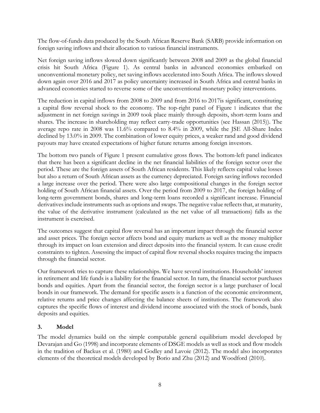The flow-of-funds data produced by the South African Reserve Bank (SARB) provide information on foreign saving inflows and their allocation to various financial instruments.

Net foreign saving inflows slowed down significantly between 2008 and 2009 as the global financial crisis hit South Africa [\(Figure 1\)](#page-8-0). As central banks in advanced economies embarked on unconventional monetary policy, net saving inflows accelerated into South Africa. The inflows slowed down again over 2016 and 2017 as policy uncertainty increased in South Africa and central banks in advanced economies started to reverse some of the unconventional monetary policy interventions.

The reduction in capital inflows from 2008 to 2009 and from 2016 to 2017is significant, constituting a capital flow reversal shock to the economy. The top-right panel of [Figure](#page-8-0) 1 indicates that the adjustment in net foreign savings in 2009 took place mainly through deposits, short-term loans and shares. The increase in shareholding may reflect carry-trade opportunities (see Hassan (2015)). The average repo rate in 2008 was 11.6% compared to 8.4% in 2009, while the JSE All-Share Index declined by 13.0% in 2009. The combination of lower equity prices, a weaker rand and good dividend payouts may have created expectations of higher future returns among foreign investors.

The bottom two panels of [Figure 1](#page-8-0) present cumulative gross flows. The bottom-left panel indicates that there has been a significant decline in the net financial liabilities of the foreign sector over the period. These are the foreign assets of South African residents. This likely reflects capital value losses but also a return of South African assets as the currency depreciated. Foreign saving inflows recorded a large increase over the period. There were also large compositional changes in the foreign sector holding of South African financial assets. Over the period from 2009 to 2017, the foreign holding of long-term government bonds, shares and long-term loans recorded a significant increase. Financial derivatives include instruments such as options and swaps. The negative value reflects that, at maturity, the value of the derivative instrument (calculated as the net value of all transactions) falls as the instrument is exercised.

The outcomes suggest that capital flow reversal has an important impact through the financial sector and asset prices. The foreign sector affects bond and equity markets as well as the money multiplier through its impact on loan extension and direct deposits into the financial system. It can cause credit constraints to tighten. Assessing the impact of capital flow reversal shocks requires tracing the impacts through the financial sector.

Our framework tries to capture these relationships. We have several institutions. Households' interest in retirement and life funds is a liability for the financial sector. In turn, the financial sector purchases bonds and equities. Apart from the financial sector, the foreign sector is a large purchaser of local bonds in our framework. The demand for specific assets is a function of the economic environment, relative returns and price changes affecting the balance sheets of institutions. The framework also captures the specific flows of interest and dividend income associated with the stock of bonds, bank deposits and equities.

## **3. Model**

The model dynamics build on the simple computable general equilibrium model developed by Devarajan and Go (1998) and incorporate elements of DSGE models as well as stock and flow models in the tradition of Backus et al. (1980) and Godley and Lavoie (2012). The model also incorporates elements of the theoretical models developed by Borio and Zhu (2012) and Woodford (2010).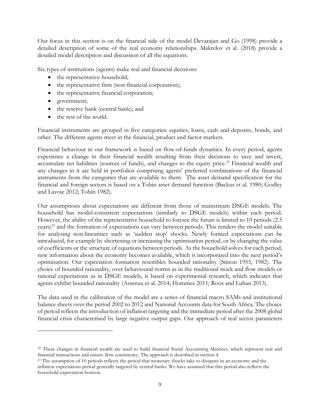Our focus in this section is on the financial side of the model Devarajan and Go (1998) provide a detailed description of some of the real economy relationships. Makrelov et al. (2018) provide a detailed model description and discussion of all the equations.

Six types of institutions (agents) make real and financial decisions:

- the representative household;
- the representative firm (non-financial corporation);
- the representative financial corporation;
- government;

 $\overline{a}$ 

- the reserve bank (central bank); and
- the rest of the world.

Financial instruments are grouped in five categories: equities, loans, cash and deposits, bonds, and other. The different agents meet in the financial, product and factor markets.

Financial behaviour in our framework is based on flow-of-funds dynamics. In every period, agents experience a change in their financial wealth resulting from their decisions to save and invest, accumulate net liabilities (sources of funds), and changes to the equity price.<sup>22</sup> Financial wealth and any changes in it are held in portfolios comprising agents' preferred combinations of the financial instruments from the categories that are available to them. The asset demand specification for the financial and foreign sectors is based on a Tobin asset demand function (Backus et al. 1980; Godley and Lavoie 2012; Tobin 1982).

Our assumptions about expectations are different from those of mainstream DSGE models. The household has model-consistent expectations (similarly to DSGE models) within each period. However, the ability of the representative household to foresee the future is limited to 10 periods (2.5 years)<sup>23</sup> and the formation of expectations can vary between periods. This renders the model suitable for analysing non-linearities such as 'sudden stop' shocks. Newly formed expectations can be introduced, for example by shortening or increasing the optimisation period, or by changing the value of coefficients or the structure of equations between periods. As the household solves for each period, new information about the economy becomes available, which is incorporated into the next period's optimisation. Our expectation formation resembles bounded rationality (Simon 1955, 1982). The choice of bounded rationality, over behavioural norms as in the traditional stock and flow models or rational expectations as in DSGE models, is based on experimental research, which indicates that agents exhibit bounded rationality (Assenza et al. 2014; Hommes 2011; Roos and Luhan 2013).

The data used in the calibration of the model are a series of financial macro SAMs and institutional balance sheets over the period 2002 to 2012 and National Accounts data for South Africa. The choice of period reflects the introduction of inflation targeting and the immediate period after the 2008 global financial crisis characterised by large negative output gaps. Our approach of real sector parameters

<sup>22</sup> These changes in financial wealth are used to build financial Social Accounting Matrices, which represent real and financial transactions and ensure flow consistency. The approach is described in section 4.

<sup>&</sup>lt;sup>23</sup> The assumption of 10 periods reflects the period that monetary shocks take to dissipate in an economy and the inflation expectations period generally targeted by central banks. We have assumed that this period also reflects the household expectation horizon.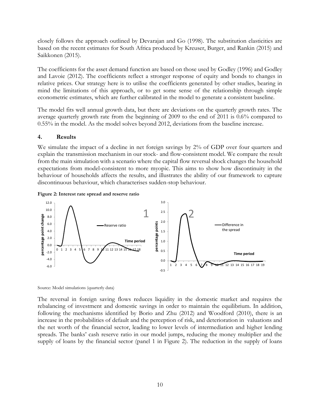closely follows the approach outlined by Devarajan and Go (1998). The substitution elasticities are based on the recent estimates for South Africa produced by Kreuser, Burger, and Rankin (2015) and Saikkonen (2015).

The coefficients for the asset demand function are based on those used by Godley (1996) and Godley and Lavoie (2012). The coefficients reflect a stronger response of equity and bonds to changes in relative prices. Our strategy here is to utilise the coefficients generated by other studies, bearing in mind the limitations of this approach, or to get some sense of the relationship through simple econometric estimates, which are further calibrated in the model to generate a consistent baseline.

The model fits well annual growth data, but there are deviations on the quarterly growth rates. The average quarterly growth rate from the beginning of 2009 to the end of 2011 is 0.6% compared to 0.55% in the model. As the model solves beyond 2012, deviations from the baseline increase.

## **4. Results**

We simulate the impact of a decline in net foreign savings by 2% of GDP over four quarters and explain the transmission mechanism in our stock- and flow-consistent model. We compare the result from the main simulation with a scenario where the capital flow reversal shock changes the household expectations from model-consistent to more myopic. This aims to show how discontinuity in the behaviour of households affects the results, and illustrates the ability of our framework to capture discontinuous behaviour, which characterises sudden-stop behaviour.

#### <span id="page-11-0"></span>**Figure 2: Interest rate spread and reserve ratio**



Source: Model simulations (quarterly data)

The reversal in foreign saving flows reduces liquidity in the domestic market and requires the rebalancing of investment and domestic savings in order to maintain the equilibrium. In addition, following the mechanisms identified by Borio and Zhu (2012) and Woodford (2010), there is an increase in the probabilities of default and the perception of risk, and deterioration in valuations and the net worth of the financial sector, leading to lower levels of intermediation and higher lending spreads. The banks' cash reserve ratio in our model jumps, reducing the money multiplier and the supply of loans by the financial sector (panel 1 in [Figure 2\)](#page-11-0). The reduction in the supply of loans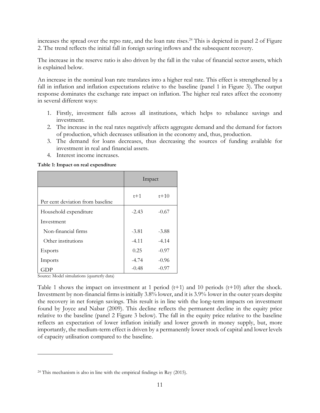increases the spread over the repo rate, and the loan rate rises.<sup>24</sup> This is depicted in panel 2 of Figure [2.](#page-11-0) The trend reflects the initial fall in foreign saving inflows and the subsequent recovery.

The increase in the reserve ratio is also driven by the fall in the value of financial sector assets, which is explained below.

An increase in the nominal loan rate translates into a higher real rate. This effect is strengthened by a fall in inflation and inflation expectations relative to the baseline (panel 1 in [Figure 3\)](#page-13-0). The output response dominates the exchange rate impact on inflation. The higher real rates affect the economy in several different ways:

- 1. Firstly, investment falls across all institutions, which helps to rebalance savings and investment.
- 2. The increase in the real rates negatively affects aggregate demand and the demand for factors of production, which decreases utilisation in the economy and, thus, production.
- 3. The demand for loans decreases, thus decreasing the sources of funding available for investment in real and financial assets.
- 4. Interest income increases.

## <span id="page-12-0"></span>**Table 1: Impact on real expenditure**

|                                  | Impact  |          |  |
|----------------------------------|---------|----------|--|
| Per cent deviation from baseline | $t+1$   | $t + 10$ |  |
| Household expenditure            | $-2.43$ | $-0.67$  |  |
| Investment                       |         |          |  |
| Non-financial firms              | $-3.81$ | $-3.88$  |  |
| Other institutions               | $-4.11$ | $-4.14$  |  |
| Exports                          | 0.25    | $-0.97$  |  |
| Imports                          | $-4.74$ | $-0.96$  |  |
| GDP                              | $-0.48$ | $-0.97$  |  |

Source: Model simulations (quarterly data)

 $\overline{a}$ 

[Table 1](#page-12-0) shows the impact on investment at 1 period  $(t+1)$  and 10 periods  $(t+10)$  after the shock. Investment by non-financial firms is initially 3.8% lower, and it is 3.9% lower in the outer years despite the recovery in net foreign savings. This result is in line with the long-term impacts on investment found by Joyce and Nabar (2009). This decline reflects the permanent decline in the equity price relative to the baseline (panel 2 [Figure 3](#page-13-0) below). The fall in the equity price relative to the baseline reflects an expectation of lower inflation initially and lower growth in money supply, but, more importantly, the medium-term effect is driven by a permanently lower stock of capital and lower levels of capacity utilisation compared to the baseline.

<sup>24</sup> This mechanism is also in line with the empirical findings in Rey (2015).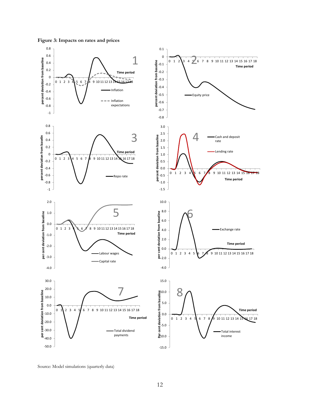<span id="page-13-0"></span>



Source: Model simulations (quarterly data)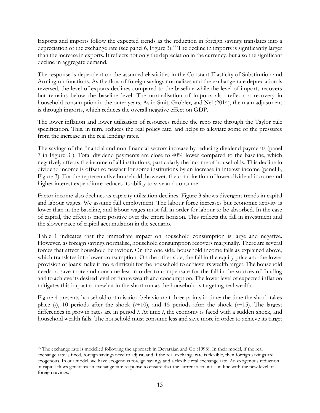Exports and imports follow the expected trends as the reduction in foreign savings translates into a depreciation of the exchange rate (see panel 6, [Figure 3\)](#page-13-0).<sup>25</sup> The decline in imports is significantly larger than the increase in exports. It reflects not only the depreciation in the currency, but also the significant decline in aggregate demand.

The response is dependent on the assumed elasticities in the Constant Elasticity of Substitution and Armington functions. As the flow of foreign savings normalises and the exchange rate depreciation is reversed, the level of exports declines compared to the baseline while the level of imports recovers but remains below the baseline level. The normalisation of imports also reflects a recovery in household consumption in the outer years. As in Smit, Grobler, and Nel (2014), the main adjustment is through imports, which reduces the overall negative effect on GDP.

The lower inflation and lower utilisation of resources reduce the repo rate through the Taylor rule specification. This, in turn, reduces the real policy rate, and helps to alleviate some of the pressures from the increase in the real lending rates.

The savings of the financial and non-financial sectors increase by reducing dividend payments (panel 7 in [Figure 3](#page-13-0) ). Total dividend payments are close to 40% lower compared to the baseline, which negatively affects the income of all institutions, particularly the income of households. This decline in dividend income is offset somewhat for some institutions by an increase in interest income (panel 8, [Figure 3\)](#page-13-0). For the representative household, however, the combination of lower dividend income and higher interest expenditure reduces its ability to save and consume.

Factor income also declines as capacity utilisation declines. [Figure 3](#page-13-0) shows divergent trends in capital and labour wages. We assume full employment. The labour force increases but economic activity is lower than in the baseline, and labour wages must fall in order for labour to be absorbed. In the case of capital, the effect is more positive over the entire horizon. This reflects the fall in investment and the slower pace of capital accumulation in the scenario.

[Table 1](#page-12-0) indicates that the immediate impact on household consumption is large and negative. However, as foreign savings normalise, household consumption recovers marginally. There are several forces that affect household behaviour. On the one side, household income falls as explained above, which translates into lower consumption. On the other side, the fall in the equity price and the lower provision of loans make it more difficult for the household to achieve its wealth target. The household needs to save more and consume less in order to compensate for the fall in the sources of funding and to achieve its desired level of future wealth and consumption. The lower level of expected inflation mitigates this impact somewhat in the short run as the household is targeting real wealth.

[Figure 4](#page-15-0) presents household optimisation behaviour at three points in time: the time the shock takes place (*t*), 10 periods after the shock (*t*+10), and 15 periods after the shock (*t*+15). The largest differences in growth rates are in period *t.* At time *t*, the economy is faced with a sudden shock, and household wealth falls. The household must consume less and save more in order to achieve its target

<sup>&</sup>lt;sup>25</sup> The exchange rate is modelled following the approach in Devarajan and Go (1998). In their model, if the real exchange rate is fixed, foreign savings need to adjust, and if the real exchange rate is flexible, then foreign savings are exogenous. In our model, we have exogenous foreign savings and a flexible real exchange rate. An exogenous reduction in capital flows generates an exchange rate response to ensure that the current account is in line with the new level of foreign savings.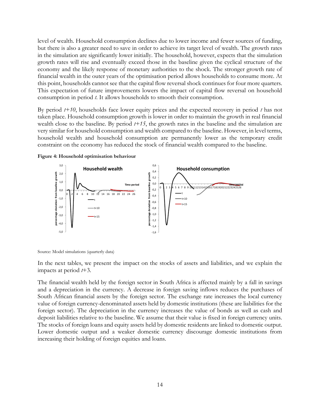level of wealth. Household consumption declines due to lower income and fewer sources of funding, but there is also a greater need to save in order to achieve its target level of wealth. The growth rates in the simulation are significantly lower initially. The household, however, expects that the simulation growth rates will rise and eventually exceed those in the baseline given the cyclical structure of the economy and the likely response of monetary authorities to the shock. The stronger growth rate of financial wealth in the outer years of the optimisation period allows households to consume more. At this point, households cannot see that the capital flow reversal shock continues for four more quarters. This expectation of future improvements lowers the impact of capital flow reversal on household consumption in period *t*. It allows households to smooth their consumption.

By period *t+10*, households face lower equity prices and the expected recovery in period *t* has not taken place. Household consumption growth is lower in order to maintain the growth in real financial wealth close to the baseline. By period *t+15*, the growth rates in the baseline and the simulation are very similar for household consumption and wealth compared to the baseline. However, in level terms, household wealth and household consumption are permanently lower as the temporary credit constraint on the economy has reduced the stock of financial wealth compared to the baseline.

<span id="page-15-0"></span>



Source: Model simulations (quarterly data)

In the next tables, we present the impact on the stocks of assets and liabilities, and we explain the impacts at period *t*+3.

The financial wealth held by the foreign sector in South Africa is affected mainly by a fall in savings and a depreciation in the currency. A decrease in foreign saving inflows reduces the purchases of South African financial assets by the foreign sector. The exchange rate increases the local currency value of foreign currency-denominated assets held by domestic institutions (these are liabilities for the foreign sector). The depreciation in the currency increases the value of bonds as well as cash and deposit liabilities relative to the baseline. We assume that their value is fixed in foreign currency units. The stocks of foreign loans and equity assets held by domestic residents are linked to domestic output. Lower domestic output and a weaker domestic currency discourage domestic institutions from increasing their holding of foreign equities and loans.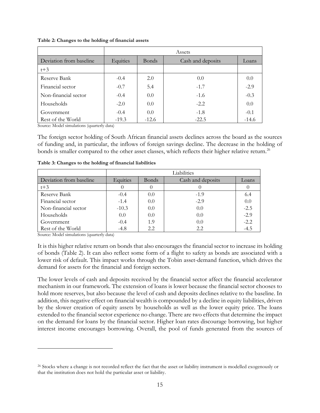|                         | Assets   |              |                   |         |
|-------------------------|----------|--------------|-------------------|---------|
| Deviation from baseline | Equities | <b>Bonds</b> | Cash and deposits | Loans   |
| $t+3$                   |          |              |                   |         |
| Reserve Bank            | $-0.4$   | 2.0          | 0.0               | 0.0     |
| Financial sector        | $-0.7$   | 5.4          | $-1.7$            | $-2.9$  |
| Non-financial sector    | $-0.4$   | 0.0          | $-1.6$            | $-0.3$  |
| Households              | $-2.0$   | 0.0          | $-2.2$            | 0.0     |
| Government              | $-0.4$   | 0.0          | $-1.8$            | $-0.1$  |
| Rest of the World       | $-19.3$  | $-12.6$      | $-22.5$           | $-14.6$ |

<span id="page-16-0"></span>**Table 2: Changes to the holding of financial assets**

Source: Model simulations (quarterly data)

The foreign sector holding of South African financial assets declines across the board as the sources of funding and, in particular, the inflows of foreign savings decline. The decrease in the holding of bonds is smaller compared to the other asset classes, which reflects their higher relative return.<sup>26</sup>

|                         | Liabilities |              |                   |        |
|-------------------------|-------------|--------------|-------------------|--------|
| Deviation from baseline | Equities    | <b>Bonds</b> | Cash and deposits | Loans  |
| $t+3$                   |             |              |                   |        |
| Reserve Bank            | $-0.4$      | 0.0          | $-1.9$            | 6.4    |
| Financial sector        | $-1.4$      | 0.0          | $-2.9$            | 0.0    |
| Non-financial sector    | $-10.3$     | 0.0          | 0.0               | $-2.5$ |
| Households              | 0.0         | 0.0          | 0.0               | $-2.9$ |
| Government              | $-0.4$      | 1.9          | 0.0               | $-2.2$ |
| Rest of the World       | $-4.8$      | 2.2          | 2.2               | $-4.5$ |

<span id="page-16-1"></span>**Table 3: Changes to the holding of financial liabilities**

Source: Model simulations (quarterly data)

 $\overline{a}$ 

It is this higher relative return on bonds that also encourages the financial sector to increase its holding of bonds [\(Table 2\)](#page-16-0). It can also reflect some form of a flight to safety as bonds are associated with a lower risk of default. This impact works through the Tobin asset-demand function, which drives the demand for assets for the financial and foreign sectors.

The lower levels of cash and deposits received by the financial sector affect the financial accelerator mechanism in our framework. The extension of loans is lower because the financial sector chooses to hold more reserves, but also because the level of cash and deposits declines relative to the baseline. In addition, this negative effect on financial wealth is compounded by a decline in equity liabilities, driven by the slower creation of equity assets by households as well as the lower equity price. The loans extended to the financial sector experience no change. There are two effects that determine the impact on the demand for loans by the financial sector. Higher loan rates discourage borrowing, but higher interest income encourages borrowing. Overall, the pool of funds generated from the sources of

<sup>&</sup>lt;sup>26</sup> Stocks where a change is not recorded reflect the fact that the asset or liability instrument is modelled exogenously or that the institution does not hold the particular asset or liability.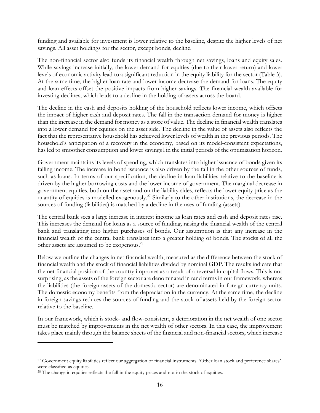funding and available for investment is lower relative to the baseline, despite the higher levels of net savings. All asset holdings for the sector, except bonds, decline.

The non-financial sector also funds its financial wealth through net savings, loans and equity sales. While savings increase initially, the lower demand for equities (due to their lower return) and lower levels of economic activity lead to a significant reduction in the equity liability for the sector [\(Table 3\)](#page-16-1). At the same time, the higher loan rate and lower income decrease the demand for loans. The equity and loan effects offset the positive impacts from higher savings. The financial wealth available for investing declines, which leads to a decline in the holding of assets across the board.

The decline in the cash and deposits holding of the household reflects lower income, which offsets the impact of higher cash and deposit rates. The fall in the transaction demand for money is higher than the increase in the demand for money as a store of value. The decline in financial wealth translates into a lower demand for equities on the asset side. The decline in the value of assets also reflects the fact that the representative household has achieved lower levels of wealth in the previous periods. The household's anticipation of a recovery in the economy, based on its model-consistent expectations, has led to smoother consumption and lower savings l in the initial periods of the optimisation horizon.

Government maintains its levels of spending, which translates into higher issuance of bonds given its falling income. The increase in bond issuance is also driven by the fall in the other sources of funds, such as loans. In terms of our specification, the decline in loan liabilities relative to the baseline is driven by the higher borrowing costs and the lower income of government. The marginal decrease in government equities, both on the asset and on the liability sides, reflects the lower equity price as the quantity of equities is modelled exogenously.<sup>27</sup> Similarly to the other institutions, the decrease in the sources of funding (liabilities) is matched by a decline in the uses of funding (assets).

The central bank sees a large increase in interest income as loan rates and cash and deposit rates rise. This increases the demand for loans as a source of funding, raising the financial wealth of the central bank and translating into higher purchases of bonds. Our assumption is that any increase in the financial wealth of the central bank translates into a greater holding of bonds. The stocks of all the other assets are assumed to be exogenous.<sup>28</sup>

Below we outline the changes in net financial wealth, measured as the difference between the stock of financial wealth and the stock of financial liabilities divided by nominal GDP. The results indicate that the net financial position of the country improves as a result of a reversal in capital flows. This is not surprising, as the assets of the foreign sector are denominated in rand terms in our framework, whereas the liabilities (the foreign assets of the domestic sector) are denominated in foreign currency units. The domestic economy benefits from the depreciation in the currency. At the same time, the decline in foreign savings reduces the sources of funding and the stock of assets held by the foreign sector relative to the baseline.

In our framework, which is stock- and flow-consistent, a deterioration in the net wealth of one sector must be matched by improvements in the net wealth of other sectors. In this case, the improvement takes place mainly through the balance sheets of the financial and non-financial sectors, which increase

<sup>27</sup> Government equity liabilities reflect our aggregation of financial instruments. 'Other loan stock and preference shares' were classified as equities.

<sup>&</sup>lt;sup>28</sup> The change in equities reflects the fall in the equity prices and not in the stock of equities.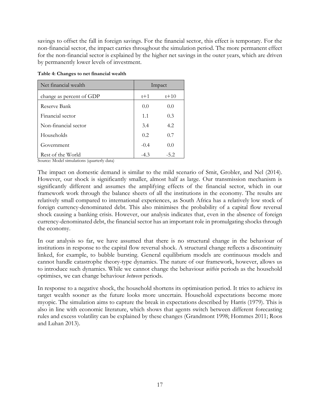savings to offset the fall in foreign savings. For the financial sector, this effect is temporary. For the non-financial sector, the impact carries throughout the simulation period. The more permanent effect for the non-financial sector is explained by the higher net savings in the outer years, which are driven by permanently lower levels of investment.

| Net financial wealth     | Impact |        |
|--------------------------|--------|--------|
| change as percent of GDP | $t+1$  | $t+10$ |
| Reserve Bank             | 0.0    | 0.0    |
| Financial sector         | 1.1    | 0.3    |
| Non-financial sector     | 3.4    | 4.2    |
| Households               | 0.2.   | 0.7    |
| Government               | $-0.4$ | 0.0    |
| Rest of the World        | $-4.3$ | $-5.2$ |

Source: Model simulations (quarterly data)

The impact on domestic demand is similar to the mild scenario of Smit, Grobler, and Nel (2014). However, our shock is significantly smaller, almost half as large. Our transmission mechanism is significantly different and assumes the amplifying effects of the financial sector, which in our framework work through the balance sheets of all the institutions in the economy. The results are relatively small compared to international experiences, as South Africa has a relatively low stock of foreign currency-denominated debt. This also minimises the probability of a capital flow reversal shock causing a banking crisis. However, our analysis indicates that, even in the absence of foreign currency-denominated debt, the financial sector has an important role in promulgating shocks through the economy.

In our analysis so far, we have assumed that there is no structural change in the behaviour of institutions in response to the capital flow reversal shock. A structural change reflects a discontinuity linked, for example, to bubble bursting. General equilibrium models are continuous models and cannot handle catastrophe theory-type dynamics. The nature of our framework, however, allows us to introduce such dynamics. While we cannot change the behaviour *within* periods as the household optimises, we can change behaviour *between* periods.

In response to a negative shock, the household shortens its optimisation period. It tries to achieve its target wealth sooner as the future looks more uncertain. Household expectations become more myopic. The simulation aims to capture the break in expectations described by Harris (1979). This is also in line with economic literature, which shows that agents switch between different forecasting rules and excess volatility can be explained by these changes (Grandmont 1998; Hommes 2011; Roos and Luhan 2013).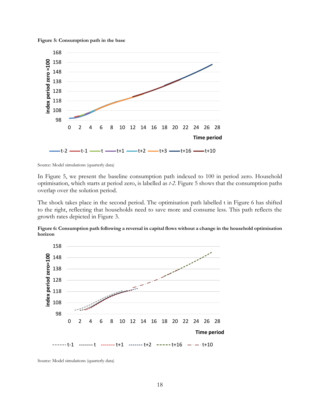



Source: Model simulations (quarterly data)

In Figure 5, we present the baseline consumption path indexed to 100 in period zero. Household optimisation, which starts at period zero, is labelled as *t-2*. Figure 5 shows that the consumption paths overlap over the solution period.

The shock takes place in the second period. The optimisation path labelled t in [Figure 6](#page-19-0) has shifted to the right, reflecting that households need to save more and consume less. This path reflects the growth rates depicted in [Figure 3.](#page-13-0)

<span id="page-19-0"></span>



<span id="page-19-1"></span>Source: Model simulations (quarterly data)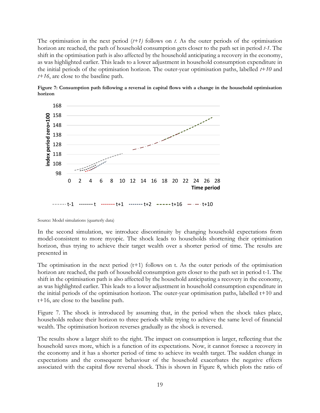The optimisation in the next period  $(t+1)$  follows on *t*. As the outer periods of the optimisation horizon are reached, the path of household consumption gets closer to the path set in period *t-1.* The shift in the optimisation path is also affected by the household anticipating a recovery in the economy, as was highlighted earlier. This leads to a lower adjustment in household consumption expenditure in the initial periods of the optimisation horizon. The outer-year optimisation paths, labelled *t+10* and *t+16*, are close to the baseline path.





Source: Model simulations (quarterly data)

In the second simulation, we introduce discontinuity by changing household expectations from model-consistent to more myopic. The shock leads to households shortening their optimisation horizon, thus trying to achieve their target wealth over a shorter period of time. The results are presented in

The optimisation in the next period  $(t+1)$  follows on t. As the outer periods of the optimisation [horizon are reached, the path of household consumption gets closer to the path set in period t-1. The](#page-19-1)  [shift in the optimisation path is also affected by the household anticipating a recovery in the economy,](#page-19-1) as was highlighted [earlier. This leads to a lower adjustment in household consumption expenditure in](#page-19-1)  [the initial periods of the optimisation horizon. The outer-year optimisation paths, labelled t+10 and](#page-19-1)  [t+16, are close to the baseline path.](#page-19-1) 

[Figure 7.](#page-19-1) The shock is introduced by assuming that, in the period when the shock takes place, households reduce their horizon to three periods while trying to achieve the same level of financial wealth. The optimisation horizon reverses gradually as the shock is reversed.

The results show a larger shift to the right. The impact on consumption is larger, reflecting that the household saves more, which is a function of its expectations. Now, it cannot foresee a recovery in the economy and it has a shorter period of time to achieve its wealth target. The sudden change in expectations and the consequent behaviour of the household exacerbates the negative effects associated with the capital flow reversal shock. This is shown in [Figure 8,](#page-21-0) which plots the ratio of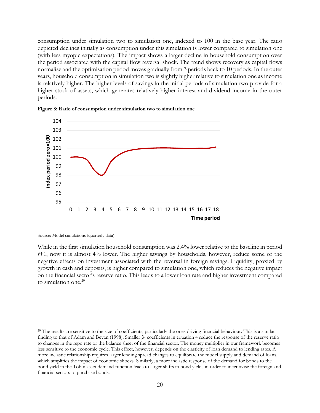consumption under simulation two to simulation one, indexed to 100 in the base year. The ratio depicted declines initially as consumption under this simulation is lower compared to simulation one (with less myopic expectations). The impact shows a larger decline in household consumption over the period associated with the capital flow reversal shock. The trend shows recovery as capital flows normalise and the optimisation period moves gradually from 3 periods back to 10 periods. In the outer years, household consumption in simulation two is slightly higher relative to simulation one as income is relatively higher. The higher levels of savings in the initial periods of simulation two provide for a higher stock of assets, which generates relatively higher interest and dividend income in the outer periods.



<span id="page-21-0"></span>**Figure 8: Ratio of consumption under simulation two to simulation one**

Source: Model simulations (quarterly data)

 $\overline{a}$ 

While in the first simulation household consumption was 2.4% lower relative to the baseline in period *t+*1, now it is almost 4% lower. The higher savings by households, however, reduce some of the negative effects on investment associated with the reversal in foreign savings. Liquidity, proxied by growth in cash and deposits, is higher compared to simulation one, which reduces the negative impact on the financial sector's reserve ratio. This leads to a lower loan rate and higher investment compared to simulation one.<sup>29</sup>

<sup>&</sup>lt;sup>29</sup> The results are sensitive to the size of coefficients, particularly the ones driving financial behaviour. This is a similar finding to that of Adam and Bevan (1998). Smaller β- coefficients in equation 4 reduce the response of the reserve ratio to changes in the repo rate or the balance sheet of the financial sector. The money multiplier in our framework becomes less sensitive to the economic cycle. This effect, however, depends on the elasticity of loan demand to lending rates. A more inelastic relationship requires larger lending spread changes to equilibrate the model supply and demand of loans, which amplifies the impact of economic shocks. Similarly, a more inelastic response of the demand for bonds to the bond yield in the Tobin asset demand function leads to larger shifts in bond yields in order to incentivise the foreign and financial sectors to purchase bonds.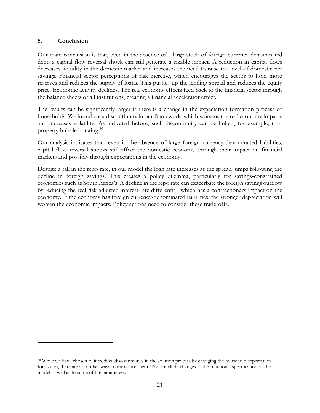## **5. Conclusion**

 $\overline{a}$ 

Our main conclusion is that, even in the absence of a large stock of foreign currency-denominated debt, a capital flow reversal shock can still generate a sizable impact. A reduction in capital flows decreases liquidity in the domestic market and increases the need to raise the level of domestic net savings. Financial sector perceptions of risk increase, which encourages the sector to hold more reserves and reduces the supply of loans. This pushes up the lending spread and reduces the equity price. Economic activity declines. The real economy effects feed back to the financial sector through the balance sheets of all institutions, creating a financial accelerator effect.

The results can be significantly larger if there is a change in the expectation formation process of households. We introduce a discontinuity in our framework, which worsens the real economy impacts and increases volatility. As indicated before, such discontinuity can be linked, for example, to a property bubble bursting.<sup>30</sup>

Our analysis indicates that, even in the absence of large foreign currency-denominated liabilities, capital flow reversal shocks still affect the domestic economy through their impact on financial markets and possibly through expectations in the economy.

Despite a fall in the repo rate, in our model the loan rate increases as the spread jumps following the decline in foreign savings. This creates a policy dilemma, particularly for savings-constrained economies such as South Africa's. A decline in the repo rate can exacerbate the foreign savings outflow by reducing the real risk-adjusted interest rate differential, which has a contractionary impact on the economy. If the economy has foreign currency-denominated liabilities, the stronger depreciation will worsen the economic impacts. Policy actions need to consider these trade-offs.

<sup>&</sup>lt;sup>30</sup> While we have chosen to introduce discontinuities in the solution process by changing the household expectation formation, there are also other ways to introduce them. These include changes to the functional specification of the model as well as to some of the parameters.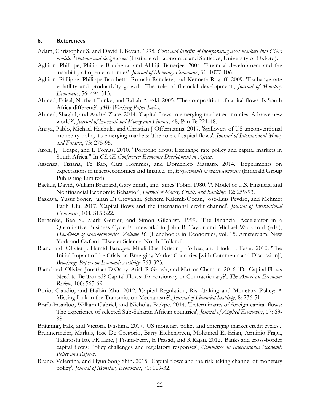#### **6. References**

- Adam, Christopher S, and David L Bevan. 1998. *Costs and benefits of incorporating asset markets into CGE models: Evidence and design issues* (Institute of Economics and Statistics, University of Oxford).
- Aghion, Philippe, Philippe Bacchetta, and Abhijit Banerjee. 2004. 'Financial development and the instability of open economies', *Journal of Monetary Economics*, 51: 1077-106.
- Aghion, Philippe, Philippe Bacchetta, Romain Rancière, and Kenneth Rogoff. 2009. 'Exchange rate volatility and productivity growth: The role of financial development', *Journal of Monetary Economics*, 56: 494-513.
- Ahmed, Faisal, Norbert Funke, and Rabah Arezki. 2005. 'The composition of capital flows: Is South Africa different?', *IMF Working Paper Series*.
- Ahmed, Shaghil, and Andrei Zlate. 2014. 'Capital flows to emerging market economies: A brave new world?', *Journal of International Money and Finance*, 48, Part B: 221-48.
- Anaya, Pablo, Michael Hachula, and Christian J Offermanns. 2017. 'Spillovers of US unconventional monetary policy to emerging markets: The role of capital flows', *Journal of International Money and Finance*, 73: 275-95.
- Aron, J, J Leape, and L Tomas. 2010. "Portfolio flows; Exchange rate policy and capital markets in South Africa." In *CSAE Conference: Economic Development in Africa*.
- Assenza, Tiziana, Te Bao, Cars Hommes, and Domenico Massaro. 2014. 'Experiments on expectations in macroeconomics and finance.' in, *Experiments in macroeconomics* (Emerald Group Publishing Limited).
- Backus, David, William Brainard, Gary Smith, and James Tobin. 1980. 'A Model of U.S. Financial and Nonfinancial Economic Behavior', *Journal of Money, Credit, and Banking*, 12: 259-93.
- Baskaya, Yusuf Soner, Julian Di Giovanni, Şebnem Kalemli-Özcan, José-Luis Peydro, and Mehmet Fatih Ulu. 2017. 'Capital flows and the international credit channel', *Journal of International Economics*, 108: S15-S22.
- Bernanke, Ben S., Mark Gertler, and Simon Gilchrist. 1999. 'The Financial Accelerator in a Quantitative Business Cycle Framework.' in John B. Taylor and Michael Woodford (eds.), *Handbook of macroeconomics. Volume 1C* (Handbooks in Economics, vol. 15. Amsterdam; New York and Oxford: Elsevier Science, North-Holland).
- Blanchard, Olivier J, Hamid Faruqee, Mitali Das, Kristin J Forbes, and Linda L Tesar. 2010. 'The Initial Impact of the Crisis on Emerging Market Countries [with Comments and Discussion]', *Brookings Papers on Economic Activity*: 263-323.
- Blanchard, Olivier, Jonathan D Ostry, Atish R Ghosh, and Marcos Chamon. 2016. 'Do Capital Flows Need to Be Tamed? Capital Flows: Expansionary or Contractionary?', *The American Economic Review*, 106: 565-69.
- Borio, Claudio, and Haibin Zhu. 2012. 'Capital Regulation, Risk-Taking and Monetary Policy: A Missing Link in the Transmission Mechanism?', *Journal of Financial Stability*, 8: 236-51.
- Brafu-Insaidoo, William Gabriel, and Nicholas Biekpe. 2014. 'Determinants of foreign capital flows: The experience of selected Sub-Saharan African countries', *Journal of Applied Economics*, 17: 63- 88.
- Bräuning, Falk, and Victoria Ivashina. 2017. 'US monetary policy and emerging market credit cycles'.
- Brunnermeier, Markus, José De Gregorio, Barry Eichengreen, Mohamed El-Erian, Arminio Fraga, Takatoshi Ito, PR Lane, J Pisani-Ferry, E Prasad, and R Rajan. 2012. 'Banks and cross-border capital flows: Policy challenges and regulatory responses', *Committee on International Economic Policy and Reform*.
- Bruno, Valentina, and Hyun Song Shin. 2015. 'Capital flows and the risk-taking channel of monetary policy', *Journal of Monetary Economics*, 71: 119-32.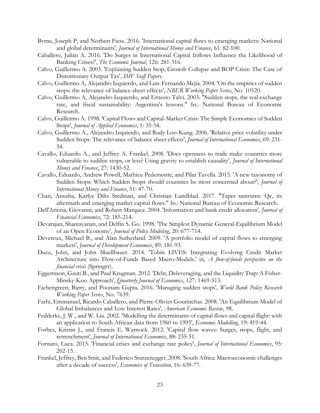- Byrne, Joseph P, and Norbert Fiess. 2016. 'International capital flows to emerging markets: National and global determinants', *Journal of International Money and Finance*, 61: 82-100.
- Caballero, Julián A. 2016. 'Do Surges in International Capital Inflows Influence the Likelihood of Banking Crises?', *The Economic Journal*, 126: 281-316.
- Calvo, Guillermo A. 2003. 'Explaining Sudden Stop, Growth Collapse and BOP Crisis: The Case of Distortionary Output Tax', *IMF Staff Papers*.
- Calvo, Guillermo A, Alejandro Izquierdo, and Luis-Fernando Mejia. 2004. 'On the empirics of sudden stops: the relevance of balance-sheet effects', *NBER Working Paper Series*, No. 10520.
- Calvo, Guillermo A, Alejandro Izquierdo, and Ernesto Talvi. 2003. "Sudden stops, the real exchange rate, and fiscal sustainability: Argentina's lessons." In.: National Bureau of Economic Research.
- Calvo, Guillermo A. 1998. 'Capital Flows and Capital-Market Crisis: The Simple Economics of Sudden Stops', *Journal of Applied Economics*, 1: 35-54.
- Calvo, Guillermo A., Alejandro Izquierdo, and Rudy Loo-Kung. 2006. 'Relative price volatility under Sudden Stops: The relevance of balance sheet effects', *Journal of International Economics*, 69: 231- 54.
- Cavallo, Eduardo A., and Jeffrey A. Frankel. 2008. 'Does openness to trade make countries more vulnerable to sudden stops, or less? Using gravity to establish causality', *Journal of International Money and Finance*, 27: 1430-52.
- Cavallo, Eduardo, Andrew Powell, Mathieu Pedemonte, and Pilar Tavella. 2015. 'A new taxonomy of Sudden Stops: Which Sudden Stops should countries be most concerned about?', *Journal of International Money and Finance*, 51: 47-70.
- Chari, Anusha, Karlye Dilts Stedman, and Christian Lundblad. 2017. "Taper tantrums: Qe, its aftermath and emerging market capital flows." In.: National Bureau of Economic Research.
- Dell'Ariccia, Giovanni, and Robert Marquez. 2004. 'Information and bank credit allocation', *Journal of Financial Economics*, 72: 185-214.
- Devarajan, Shantayanan, and Delfin S. Go. 1998. 'The Simplest Dynamic General-Equilibrium Model of an Open Economy', *Journal of Policy Modeling*, 20: 677-714.
- Devereux, Michael B., and Alan Sutherland. 2009. 'A portfolio model of capital flows to emerging markets', *Journal of Development Economics*, 89: 181-93.
- Duca, John, and John Muellbauer. 2014. 'Tobin LIVES: Integrating Evolving Credit Market Architecture into Flow-of-Funds Based Macro-Models.' in, *A flow-of-funds perspective on the financial crisis* (Springer).
- Eggertsson, Gauti B., and Paul Krugman. 2012. 'Debt, Deleveraging, and the Liquidity Trap: A Fisher-Minsky-Koo Approach', *Quarterly Journal of Economics*, 127: 1469-513.
- Eichengreen, Barry, and Poonam Gupta. 2016. 'Managing sudden stops', *World Bank Policy Research Working Paper Series*, No. 7639.
- Farhi, Emmanuel, Ricardo Caballero, and Pierre-Olivier Gourinchas. 2008. 'An Equilibrium Model of Global Imbalances and Low Interest Rates', *American Economic Review*, 98.
- Fedderke, J. W., and W. Liu. 2002. 'Modelling the determinants of capital flows and capital flight: with an application to South African data from 1960 to 1995', *Economic Modelling*, 19: 419-44.
- Forbes, Kristin J., and Francis E. Warnock. 2012. 'Capital flow waves: Surges, stops, flight, and retrenchment', *Journal of International Economics*, 88: 235-51.
- Fornaro, Luca. 2015. 'Financial crises and exchange rate policy', *Journal of International Economics*, 95: 202-15.
- Frankel, Jeffrey, Ben Smit, and Federico Sturzenegger. 2008. 'South Africa: Macroeconomic challenges after a decade of success', *Economics of Transition*, 16: 639-77.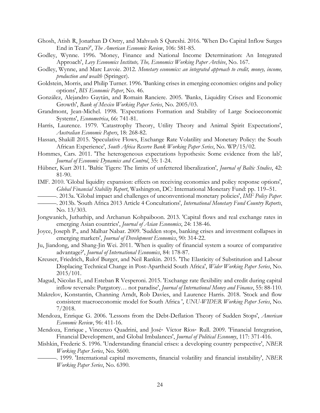- Ghosh, Atish R, Jonathan D Ostry, and Mahvash S Qureshi. 2016. 'When Do Capital Inflow Surges End in Tears?', *The American Economic Review*, 106: 581-85.
- Godley, Wynne. 1996. 'Money, Finance and National Income Determination: An Integrated Approach', *Levy Economics Institute, The, Economics Working Paper Archive*, No. 167.
- Godley, Wynne, and Marc Lavoie. 2012. *Monetary economics: an integrated approach to credit, money, income, production and wealth* (Springer).
- Goldstein, Morris, and Philip Turner. 1996. 'Banking crises in emerging economies: origins and policy options', *BIS Economic Paper*, No. 46.
- González, Alejandro Gaytán, and Romain Ranciere. 2005. 'Banks, Liquidity Crises and Economic Growth', *Bank of Mexico Working Paper Series*, No. 2005/03.
- Grandmont, Jean-Michel. 1998. 'Expectations Formation and Stability of Large Socioeconomic Systems', *Econometrica*, 66: 741-81.
- Harris, Laurence. 1979. 'Catastrophy Theory, Utility Theory and Animal Spirit Expectations', *Australian Economic Papers*, 18: 268-82.
- Hassan, Shakill 2015. 'Speculative Flows, Exchange Rate Volatility and Monetary Policy: the South African Experience', *South Africa Reserve Bank Working Paper Series*, No. WP/15/02.
- Hommes, Cars. 2011. 'The heterogeneous expectations hypothesis: Some evidence from the lab', *Journal of Economic Dynamics and Control*, 35: 1-24.
- Hübner, Kurt 2011. 'Baltic Tigers: The limits of unfettered liberalization', *Journal of Baltic Studies*, 42: 81-90.
- IMF. 2010. 'Global liquidity expansion: effects on receiving economies and policy response options', *Global Financial Stability Report*, Washington, DC: International Monetary Fund: pp. 119–51.
	- ———. 2013a. 'Global impact and challenges of unconventional monetary policies', *IMF Policy Paper*.
- ———. 2013b. 'South Africa 2013 Article 4 Concultations', *International Monetary Fund Country Reports*, No. 13/303.
- Jongwanich, Juthathip, and Archanun Kohpaiboon. 2013. 'Capital flows and real exchange rates in emerging Asian countries', *Journal of Asian Economics*, 24: 138-46.
- Joyce, Joseph P., and Malhar Nabar. 2009. 'Sudden stops, banking crises and investment collapses in emerging markets', *Journal of Development Economics*, 90: 314-22.
- Ju, Jiandong, and Shang-Jin Wei. 2011. 'When is quality of financial system a source of comparative advantage?', *Journal of International Economics*, 84: 178-87.
- Kreuser, Friedrich, Rulof Burger, and Neil Rankin. 2015. 'The Elasticity of Substitution and Labour Displacing Technical Change in Post-Apartheid South Africa', *Wider Working Paper Series*, No. 2015/101.
- Magud, Nicolas E, and Esteban R Vesperoni. 2015. 'Exchange rate flexibility and credit during capital inflow reversals: Purgatory… not paradise', *Journal of International Money and Finance*, 55: 88-110.
- Makrelov, Konstantin, Channing Arndt, Rob Davies, and Laurence Harris. 2018. 'Stock and flow consistent macroeconomic model for South Africa ', *UNU-WIDER Working Paper Series*, No. 7/2018.
- Mendoza, Enrique G. 2006. 'Lessons from the Debt-Deflation Theory of Sudden Stops', *American Economic Review*, 96: 411-16.
- Mendoza, Enrique , Vincenzo Quadrini, and José‐ Víctor Ríos‐ Rull. 2009. 'Financial Integration, Financial Development, and Global Imbalances', *Journal of Political Economy*, 117: 371-416.
- Mishkin, Frederic S. 1996. 'Understanding financial crises: a developing country perspective', *NBER Working Paper Series*, No. 5600.
	- ———. 1999. 'International capital movements, financial volatility and financial instability', *NBER Working Paper Series*, No. 6390.